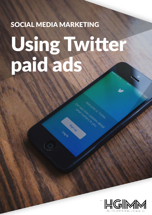# SOCIAL MEDIA MARKETING Using Twitter paid ads

Signup

Login

Melcome to Twitter.

real time up dates about

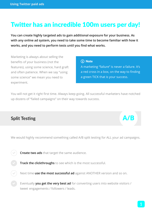# Twitter has an incredible 100m users per day!

**You can create highly targeted ads to gain additional exposure for your business. As with any online ad system, you need to take some time to become familiar with how it works, and you need to perform tests until you find what works.**

Marketing is always about selling the benefits of your business (not the features), using some science, hard graft and often patience. When we say "using some science" we mean you need to experiment.

#### (i) Note

A marketing "failure" is never a failure. It's a red cross in a box, on the way to finding a green TICK that is your success.

You will not get it right first time. Always keep going. All successful marketers have notched up dozens of "failed campaigns" on their way towards success.

# **Split Testing A/B**

 $\mathcal{L}$ 

 $\mathcal{L}$ 

We would highly recommend something called A/B split testing for ALL your ad campaigns.

 **Create two ads** that target the same audience.

 **Track the clickthroughs** to see which is the most successful.

Next time **use the most successful ad** against ANOTHER version and so on.

 Eventually **you get the very best ad** for converting users into website visitors / tweet engagements / followers / leads.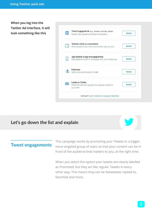**When you log into the Twitter Ad interface, it will look something like this**



### **Let's go down the list and explain**



### **Tweet engagements**

This campaign works by promoting your Tweets to a bigger, more targeted group of users so that your content can be in front of the audience that matters to you, at the right time.

When you select this option your tweets are clearly labelled as Promoted, but they act like regular Tweets in every other way. This means they can be Retweeted, replied to, favorited and more.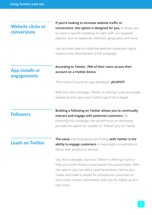#### **Website clicks or conversions**

**If you're looking to increase website traffic or conversions, this option is designed for you.** It allows you to reach a specific audience of users with our targeted options such as keywords, interests, geography and more.

You are then able to install the website conversion tag to measure the effectiveness of the campaign.

#### **App installs or According to Twitter, 78% of their users access their account on a mobile device.**

This means if you're an app developer: **JACKPOT!** 

With this new campaign, Twitter is making it easy let people download and open your mobile app from a Tweet.

#### **Followers**

**engagements**

**Building a following on Twitter allows you to continually interact and engage with potential customers.** By choosing this campaign, the ad will focus on and easily provide the option for readers to "follow" you on Twitter.

### **Leads on Twitter**

**The value** that businesses are finding **with Twitter is the ability to engage customers** in meaningful conversations about their product or service.

Yes, this is valuable, but now Twitter is offering a tool to help you covert those conversations into actual leads. With this option, you can add a Lead Generation Card to your Tweet and make it simple for prospective customers to share their contact information with you for follow up at a later time.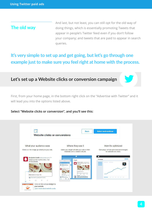#### **The old way**

And last, but not least, you can still opt for the old way of doing things, which is essentially promoting Tweets that appear in people's Twitter feed even if you don't follow your company; and tweets that are paid to appear in search queries.

## **It's very simple to set up and get going, but let's go through one example just to make sure you feel right at home with the process.**

### **Let's set up a Website clicks or conversion campaign**

First, from your home page, in the bottom right click on the "Advertise with Twitter" and it will lead you into the options listed above.

#### **Select "Website clicks or conversion", and you'll see this:**

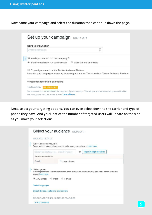**Now name your campaign and select the duration then continue down the page.**

| Name your campaign                                                                                                                                                            |                         |  |
|-------------------------------------------------------------------------------------------------------------------------------------------------------------------------------|-------------------------|--|
| Untitled campaign                                                                                                                                                             |                         |  |
| ? When do you want to run this campaign?<br>Start immediately, run continuously                                                                                               | Set start and end dates |  |
| Expand your reach on the Twitter Audience Platform<br>Increase your campaign's reach by displaying ads across Twitter and the Twitter Audience Platform                       |                         |  |
| Website tag for conversion tracking                                                                                                                                           |                         |  |
| Tracking status: NO TAG SETUP                                                                                                                                                 |                         |  |
| Set up conversion tracking to get the most out of your campaign. This will give you better reporting on metrics like<br>site visits, purchases, and other actions. Learn More |                         |  |

**Next, select your targeting options. You can even select down to the carrier and type of phone they have. And you'll notice the number of targeted users will update on the side as you make your selections.**

| AUDIENCE PROFILE                                                                                                     |                 |    |                                                                                                                |  |
|----------------------------------------------------------------------------------------------------------------------|-----------------|----|----------------------------------------------------------------------------------------------------------------|--|
|                                                                                                                      |                 |    |                                                                                                                |  |
| · Select locations (required)<br>Target users by country, states, regions, metro areas, or postal codes. Learn more. |                 |    |                                                                                                                |  |
|                                                                                                                      |                 |    |                                                                                                                |  |
| Search for locations, e.g. United Kingdom                                                                            |                 | or | <b>Import multiple locations</b>                                                                               |  |
| Target users located in                                                                                              |                 |    |                                                                                                                |  |
| Country                                                                                                              | X United States |    |                                                                                                                |  |
| · Select gender                                                                                                      |                 |    |                                                                                                                |  |
| graphs. Learn more.<br>OMale<br><sup>®</sup> Any gender<br>Select languages                                          | <b>E</b> emale  |    | We infer gender from information our users share as they use Twitter, including their profile names and follow |  |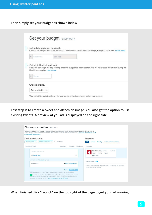**Then simply set your budget as shown below**

| · Set a daily maximum (required). | Cap the amount you will spend each day. The maximum resets daily at midnight, Europe/London time. Learn more         |  |
|-----------------------------------|----------------------------------------------------------------------------------------------------------------------|--|
| £ Required                        | per day                                                                                                              |  |
| · Set a total budget (optional).  | If set, this campaign will stop running once this budget has been reached. We will not exceed this amount during the |  |
| life of the campaign. Learn more  |                                                                                                                      |  |
| £ None                            |                                                                                                                      |  |
| Choose pricing.                   |                                                                                                                      |  |

**Last step is to create a tweet and attach an image. You also get the option to use existing tweets. A preview of you ad is displayed on the right side.**

| Create or select creatives                                                                                                                                                             |                                                                                                  | See preview                                                                                                     |
|----------------------------------------------------------------------------------------------------------------------------------------------------------------------------------------|--------------------------------------------------------------------------------------------------|-----------------------------------------------------------------------------------------------------------------|
| Promoted-only Tweets v<br>@YourUsername v                                                                                                                                              | Ш<br>Show replies                                                                                | <b>Twitter Audience Platform</b><br>Android<br><b>Desktop</b><br><b>OS</b>                                      |
|                                                                                                                                                                                        |                                                                                                  |                                                                                                                 |
| Promoted-only Tweets                                                                                                                                                                   | Web click rate<br>Web clicks<br><i>Impressions</i>                                               | Live preview                                                                                                    |
| Compose your Tweet here.                                                                                                                                                               |                                                                                                  | <b>3</b> Jan D1<br>Your Name @YourUsername                                                                      |
|                                                                                                                                                                                        |                                                                                                  | 七飞 ##<br>99 HH                                                                                                  |
| Schedule Tweet                                                                                                                                                                         | 116                                                                                              | <b>Promoted</b>                                                                                                 |
| Website Card or <b>@ Add media</b> (optional)                                                                                                                                          |                                                                                                  |                                                                                                                 |
|                                                                                                                                                                                        |                                                                                                  | Selected creatives<br>60                                                                                        |
| Create a card                                                                                                                                                                          | <b>ED Select an available card</b>                                                               |                                                                                                                 |
|                                                                                                                                                                                        |                                                                                                  | Compose or select available Tweets to promote in this campaign. We recommend<br>having 4-6 Tweets per campaign. |
|                                                                                                                                                                                        | <b>Publish Tweet</b><br>Cancel                                                                   |                                                                                                                 |
|                                                                                                                                                                                        | This Tweet won't appear on your Twitter profile. It will only be seen by your targeted audience. |                                                                                                                 |
|                                                                                                                                                                                        | and Promoted-only Tweets are immediately discoverable by data partners, even though they are not |                                                                                                                 |
| promoted until the campaign begins. To protect sensitive content, schedule promoted-only Tweets to<br>go live after your campaign start time. Learn more about who can see this Tweet. |                                                                                                  |                                                                                                                 |

**When finished click "Launch" on the top right of the page to get your ad running.**